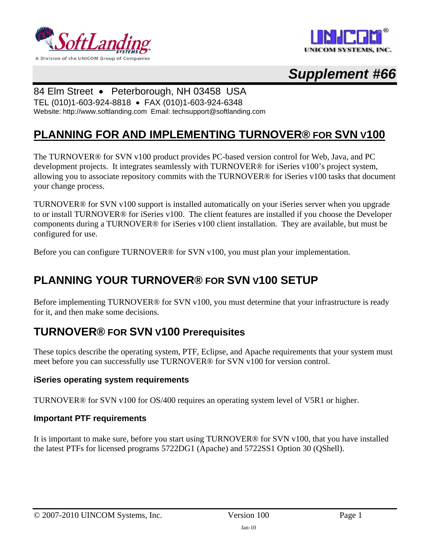





## 84 Elm Street • Peterborough, NH 03458 USA

TEL (010)1-603-924-8818 • FAX (010)1-603-924-6348 Website: http://www.softlanding.com Email: techsupport@softlanding.com

# **PLANNING FOR AND IMPLEMENTING TURNOVER® FOR SVN V100**

The TURNOVER® for SVN v100 product provides PC-based version control for Web, Java, and PC development projects. It integrates seamlessly with TURNOVER® for iSeries v100's project system, allowing you to associate repository commits with the TURNOVER® for iSeries v100 tasks that document your change process.

TURNOVER® for SVN v100 support is installed automatically on your iSeries server when you upgrade to or install TURNOVER® for iSeries v100. The client features are installed if you choose the Developer components during a TURNOVER® for iSeries v100 client installation. They are available, but must be configured for use.

Before you can configure TURNOVER® for SVN v100, you must plan your implementation.

# **PLANNING YOUR TURNOVER® FOR SVN V100 SETUP**

Before implementing TURNOVER<sup>®</sup> for SVN v100, you must determine that your infrastructure is ready for it, and then make some decisions.

# **TURNOVER® FOR SVN V100 Prerequisites**

These topics describe the operating system, PTF, Eclipse, and Apache requirements that your system must meet before you can successfully use TURNOVER® for SVN v100 for version control.

## **iSeries operating system requirements**

TURNOVER® for SVN v100 for OS/400 requires an operating system level of V5R1 or higher.

#### **Important PTF requirements**

It is important to make sure, before you start using TURNOVER® for SVN v100, that you have installed the latest PTFs for licensed programs 5722DG1 (Apache) and 5722SS1 Option 30 (QShell).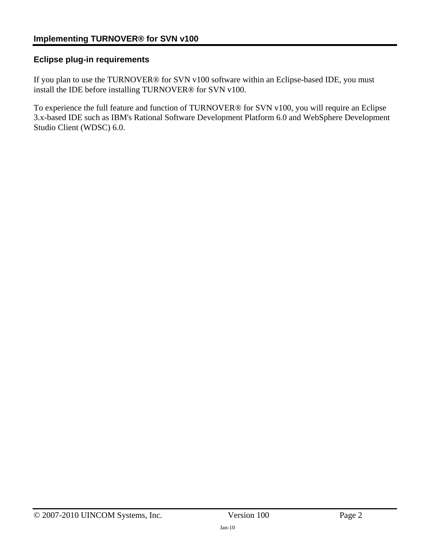## **Eclipse plug-in requirements**

If you plan to use the TURNOVER® for SVN v100 software within an Eclipse-based IDE, you must install the IDE before installing TURNOVER® for SVN v100.

To experience the full feature and function of TURNOVER® for SVN v100, you will require an Eclipse 3.x-based IDE such as IBM's Rational Software Development Platform 6.0 and WebSphere Development Studio Client (WDSC) 6.0.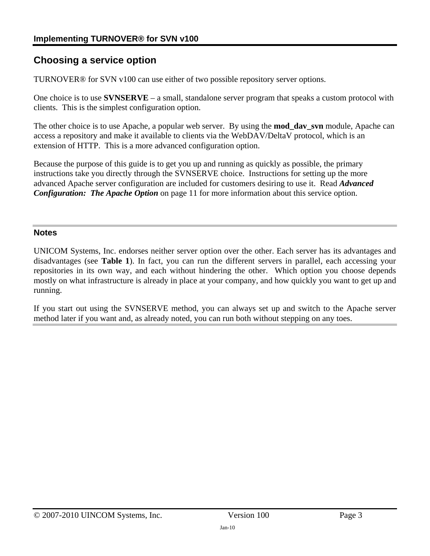# **Choosing a service option**

TURNOVER® for SVN v100 can use either of two possible repository server options.

One choice is to use **SVNSERVE** – a small, standalone server program that speaks a custom protocol with clients. This is the simplest configuration option.

The other choice is to use Apache, a popular web server. By using the **mod\_dav\_svn** module, Apache can access a repository and make it available to clients via the WebDAV/DeltaV protocol, which is an extension of HTTP. This is a more advanced configuration option.

Because the purpose of this guide is to get you up and running as quickly as possible, the primary instructions take you directly through the SVNSERVE choice. Instructions for setting up the more advanced Apache server configuration are included for customers desiring to use it. Read *[Advanced](#page-10-0)  [Configuration: The Apache Option](#page-10-0)* on page [11](#page-10-0) for more information about this service option.

#### **Notes**

UNICOM Systems, Inc. endorses neither server option over the other. Each server has its advantages and disadvantages (see **[Table 1](#page-3-0)**). In fact, you can run the different servers in parallel, each accessing your repositories in its own way, and each without hindering the other. Which option you choose depends mostly on what infrastructure is already in place at your company, and how quickly you want to get up and running.

If you start out using the SVNSERVE method, you can always set up and switch to the Apache server method later if you want and, as already noted, you can run both without stepping on any toes.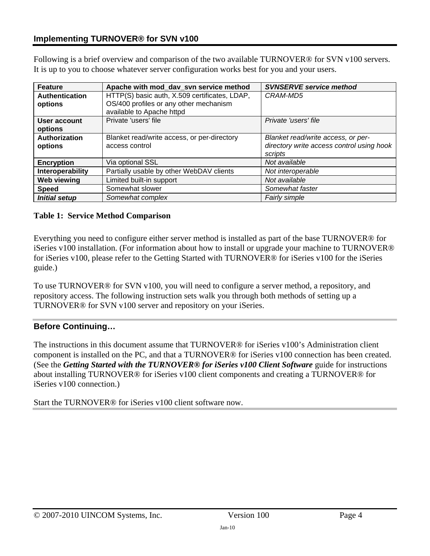Following is a brief overview and comparison of the two available TURNOVER® for SVN v100 servers. It is up to you to choose whatever server configuration works best for you and your users.

| <b>Feature</b>                   | Apache with mod_dav_svn service method                                                                               | <b>SVNSERVE service method</b>                                                             |
|----------------------------------|----------------------------------------------------------------------------------------------------------------------|--------------------------------------------------------------------------------------------|
| <b>Authentication</b><br>options | HTTP(S) basic auth, X.509 certificates, LDAP,<br>OS/400 profiles or any other mechanism<br>available to Apache httpd | CRAM-MD5                                                                                   |
| User account<br>options          | Private 'users' file                                                                                                 | Private 'users' file                                                                       |
| Authorization<br>options         | Blanket read/write access, or per-directory<br>access control                                                        | Blanket read/write access, or per-<br>directory write access control using hook<br>scripts |
| <b>Encryption</b>                | Via optional SSL                                                                                                     | Not available                                                                              |
| Interoperability                 | Partially usable by other WebDAV clients                                                                             | Not interoperable                                                                          |
| <b>Web viewing</b>               | Limited built-in support                                                                                             | Not available                                                                              |
| <b>Speed</b>                     | Somewhat slower                                                                                                      | Somewhat faster                                                                            |
| <b>Initial setup</b>             | Somewhat complex                                                                                                     | Fairly simple                                                                              |

#### <span id="page-3-0"></span>**Table 1: Service Method Comparison**

Everything you need to configure either server method is installed as part of the base TURNOVER® for iSeries v100 installation. (For information about how to install or upgrade your machine to TURNOVER® for iSeries v100, please refer to the Getting Started with TURNOVER® for iSeries v100 for the iSeries guide.)

To use TURNOVER® for SVN v100, you will need to configure a server method, a repository, and repository access. The following instruction sets walk you through both methods of setting up a TURNOVER® for SVN v100 server and repository on your iSeries.

## **Before Continuing…**

The instructions in this document assume that TURNOVER® for iSeries v100's Administration client component is installed on the PC, and that a TURNOVER® for iSeries v100 connection has been created. (See the *Getting Started with the TURNOVER® for iSeries v100 Client Software* guide for instructions about installing TURNOVER® for iSeries v100 client components and creating a TURNOVER® for iSeries v100 connection.)

Start the TURNOVER® for iSeries v100 client software now.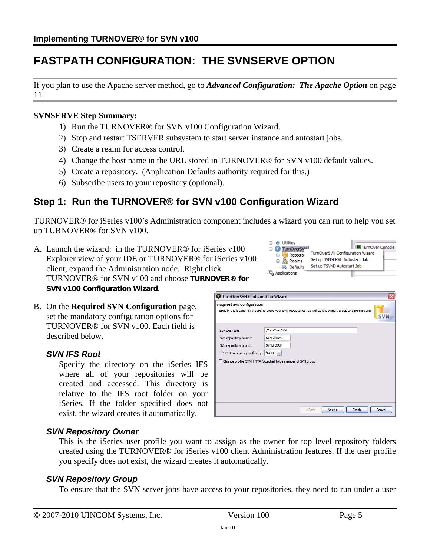# **FASTPATH CONFIGURATION: THE SVNSERVE OPTION**

If you plan to use the Apache server method, go to *[Advanced Configuration: The Apache Option](#page-10-0)* on page [11](#page-10-0).

#### **SVNSERVE Step Summary:**

- 1) Run the TURNOVER® for SVN v100 Configuration Wizard.
- 2) Stop and restart TSERVER subsystem to start server instance and autostart jobs.
- 3) Create a realm for access control.
- 4) Change the host name in the URL stored in TURNOVER® for SVN v100 default values.
- 5) Create a repository. (Application Defaults authority required for this.)
- 6) Subscribe users to your repository (optional).

# <span id="page-4-1"></span>**Step 1: Run the TURNOVER® for SVN v100 Configuration Wizard**

TURNOVER® for iSeries v100's Administration component includes a wizard you can run to help you set up TURNOVER® for SVN v100.

- A. Launch the wizard: in the TURNOVER® for iSeries v100 Explorer view of your IDE or TURNOVER® for iSeries v100 client, expand the Administration node. Right click TURNOVER® for SVN v100 and choose **TURNOVER® for SVN v100 Configuration Wizard**.  $\overline{G}$
- B. On the **Required SVN Configuration** page, set the mandatory configuration options for TURNOVER® for SVN v100. Each field is described below.

## <span id="page-4-0"></span>*SVN IFS Root*

Specify the directory on the iSeries IFS where all of your repositories will be created and accessed. This directory is relative to the IFS root folder on your iSeries. If the folder specified does not exist, the wizard creates it automatically.

| TurnOverSVN Configuration Wizard  |                                                                                                              | × |
|-----------------------------------|--------------------------------------------------------------------------------------------------------------|---|
| <b>Required SVN Configuration</b> | Specify the location in the IFS to store your SVN repositories, as well as the owner, group and permissions. |   |
| SVN IFS root:                     | /TurnOverSVN                                                                                                 |   |
| SVN repository owner:             | <b>SVNOWNER</b>                                                                                              |   |
| SVN repository group:             | <b>SVNGROUP</b>                                                                                              |   |
| *PUBLIC repository authority:     | *NONE Y                                                                                                      |   |
|                                   | Change profile QTMHHTTP (Apache) to be member of SVN group                                                   |   |
|                                   |                                                                                                              |   |
|                                   |                                                                                                              |   |
|                                   |                                                                                                              |   |

 $<$  Back

 $\mathbf{u}$   $\mathbf{w}$  Utilities

TurnOverSV<sup>ML</sup>

**E** Reposite

**Component Realms** 

**P.** Defaults *<b>Th* Applications

## *SVN Repository Owner*

This is the iSeries user profile you want to assign as the owner for top level repository folders created using the TURNOVER® for iSeries v100 client Administration features. If the user profile you specify does not exist, the wizard creates it automatically.

## *SVN Repository Group*

To ensure that the SVN server jobs have access to your repositories, they need to run under a user

Next > Finish | Cancel

TurnOver Console

TurnOverSVN Configuration Wizard

Set up SVNSERVE Autostart Job

Set up TSVND Autostart Job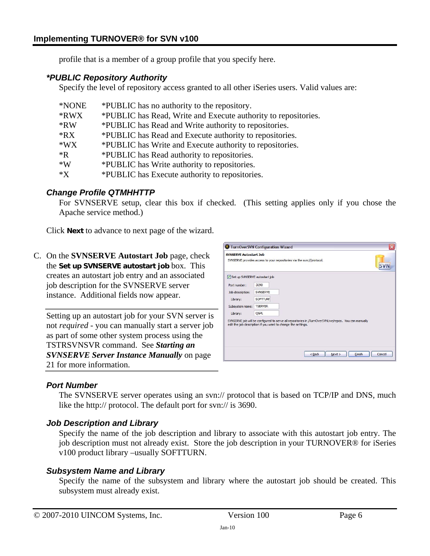profile that is a member of a group profile that you specify here.

#### *\*PUBLIC Repository Authority*

Specify the level of repository access granted to all other iSeries users. Valid values are:

| *NONE      | *PUBLIC has no authority to the repository.                    |
|------------|----------------------------------------------------------------|
| *RWX       | *PUBLIC has Read, Write and Execute authority to repositories. |
| $*RW$      | *PUBLIC has Read and Write authority to repositories.          |
| *RX        | *PUBLIC has Read and Execute authority to repositories.        |
| $*$ WX     | *PUBLIC has Write and Execute authority to repositories.       |
| $*{\bf R}$ | *PUBLIC has Read authority to repositories.                    |
| $*W$       | *PUBLIC has Write authority to repositories.                   |
| $*X$       | *PUBLIC has Execute authority to repositories.                 |

#### *Change Profile QTMHHTTP*

For SVNSERVE setup, clear this box if checked. (This setting applies only if you chose the Apache service method.)

Click **Next** to advance to next page of the wizard.

C. On the **SVNSERVE Autostart Job** page, check the **Set up SVNSERVE autostart job** box. This creates an autostart job entry and an associated job description for the SVNSERVE server instance. Additional fields now appear.

Setting up an autostart job for your SVN server is not *required* - you can manually start a server job as part of some other system process using the TSTRSVNSVR command. See *[Starting an](#page-20-0)  [SVNSERVE Server Instance Manually](#page-20-0)* on page [21](#page-20-0) for more information.

|                               | TurnOverSVN Configuration Wizard                                                                                                                                                                              |
|-------------------------------|---------------------------------------------------------------------------------------------------------------------------------------------------------------------------------------------------------------|
| <b>SVNSERVE Autostart Job</b> | SVNSERVE provides access to your repositories via the svn://protocol.                                                                                                                                         |
| Set up SVNSERVE autostart job |                                                                                                                                                                                                               |
| Port number:                  | 3690                                                                                                                                                                                                          |
| Job description:              | SVNSERVE                                                                                                                                                                                                      |
| Library:                      | <b>SOFTTURI</b>                                                                                                                                                                                               |
| Subsystem name:               | <b>TSERVER</b>                                                                                                                                                                                                |
| Library:                      | QGPL                                                                                                                                                                                                          |
|                               | SVNSERVE job will be configured to serve all repositories in /TurnOverSVNLive/repos. You can manually<br>edit the job description if you want to change the settings.<br>Finish<br>Cancel<br>$<$ Back<br>Next |

## *Port Number*

The SVNSERVE server operates using an svn:// protocol that is based on TCP/IP and DNS, much like the http:// protocol. The default port for svn:// is 3690.

## *Job Description and Library*

Specify the name of the job description and library to associate with this autostart job entry. The job description must not already exist. Store the job description in your TURNOVER® for iSeries v100 product library –usually SOFTTURN.

#### *Subsystem Name and Library*

Specify the name of the subsystem and library where the autostart job should be created. This subsystem must already exist.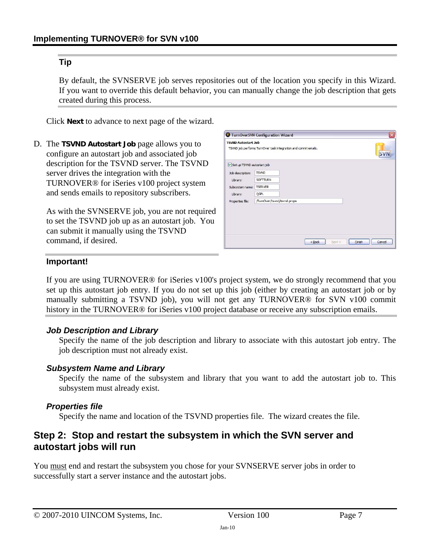#### **Tip**

By default, the SVNSERVE job serves repositories out of the location you specify in this Wizard. If you want to override this default behavior, you can manually change the job description that gets created during this process.

Click **Next** to advance to next page of the wizard.

D. The **TSVND Autostart Job** page allows you to configure an autostart job and associated job description for the TSVND server. The TSVND server drives the integration with the TURNOVER® for iSeries v100 project system and sends emails to repository subscribers.

As with the SVNSERVE job, you are not required to set the TSVND job up as an autostart job. You can submit it manually using the TSVND command, if desired.

| <b>TSVND Autostart Job</b> | TSVND job performs TurnOver task integration and commit emails. |                    |                  |
|----------------------------|-----------------------------------------------------------------|--------------------|------------------|
| Set up TSVND autostart job |                                                                 |                    |                  |
| Job description:           | <b>TSVND</b>                                                    |                    |                  |
| Library:                   | <b>SOFTTURN</b>                                                 |                    |                  |
| Subsystem name:            | <b>TSERVER</b>                                                  |                    |                  |
| Library:                   | QGPL                                                            |                    |                  |
| Properties file:           | /TurnOver/tsvnd/tsvnd.props                                     |                    |                  |
|                            |                                                                 |                    |                  |
|                            |                                                                 |                    |                  |
|                            |                                                                 |                    |                  |
|                            |                                                                 | $<$ Back<br>Next > | Finish<br>Cancel |

#### **Important!**

If you are using TURNOVER® for iSeries v100's project system, we do strongly recommend that you set up this autostart job entry. If you do not set up this job (either by creating an autostart job or by manually submitting a TSVND job), you will not get any TURNOVER® for SVN v100 commit history in the TURNOVER<sup>®</sup> for iSeries v100 project database or receive any subscription emails.

#### <span id="page-6-0"></span>*Job Description and Library*

Specify the name of the job description and library to associate with this autostart job entry. The job description must not already exist.

#### *Subsystem Name and Library*

Specify the name of the subsystem and library that you want to add the autostart job to. This subsystem must already exist.

#### *Properties file*

Specify the name and location of the TSVND properties file. The wizard creates the file.

## **Step 2: Stop and restart the subsystem in which the SVN server and autostart jobs will run**

You must end and restart the subsystem you chose for your SVNSERVE server jobs in order to successfully start a server instance and the autostart jobs.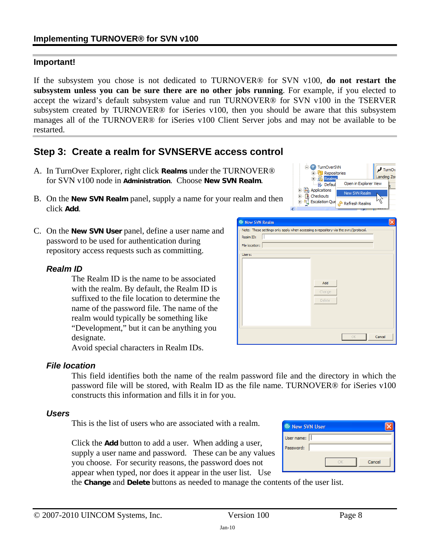#### **Important!**

If the subsystem you chose is not dedicated to TURNOVER® for SVN v100, **do not restart the subsystem unless you can be sure there are no other jobs running**. For example, if you elected to accept the wizard's default subsystem value and run TURNOVER® for SVN v100 in the TSERVER subsystem created by TURNOVER® for iSeries v100, then you should be aware that this subsystem manages all of the TURNOVER® for iSeries v100 Client Server jobs and may not be available to be restarted.

# **Step 3: Create a realm for SVNSERVE access control**

- A. In TurnOver Explorer, right click **Realms** under the TURNOVER® for SVN v100 node in **Administration**. Choose **New SVN Realm**.
- B. On the **New SVN Realm** panel, supply a name for your realm and then click **Add**.
- C. On the **New SVN User** panel, define a user name and password to be used for authentication during repository access requests such as committing.

#### *Realm ID*

The Realm ID is the name to be associated with the realm. By default, the Realm ID is suffixed to the file location to determine the name of the password file. The name of the realm would typically be something like "Development," but it can be anything you designate.

Avoid special characters in Realm IDs.

#### *File location*

This field identifies both the name of the realm password file and the directory in which the password file will be stored, with Realm ID as the file name. TURNOVER® for iSeries v100 constructs this information and fills it in for you.

#### *Users*

This is the list of users who are associated with a realm.

Click the **Add** button to add a user. When adding a user, supply a user name and password. These can be any values you choose. For security reasons, the password does not appear when typed, nor does it appear in the user list. Use

| <sup>©</sup> New SVN User |        |
|---------------------------|--------|
| User name:                |        |
| Password:                 |        |
|                           |        |
|                           | Cancel |
|                           |        |

the **Change** and **Delete** buttons as needed to manage the contents of the user list.



E TurnOverSVN

**El Col** Repositories

·昆 Defau 中心 Applications

TurnOv

Landing Zo

Cancel

Open in Explorer View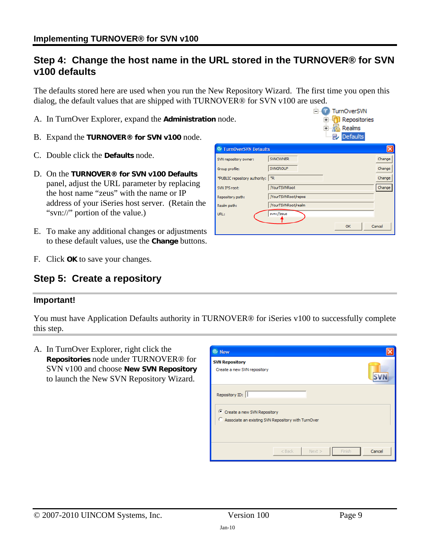## **Step 4: Change the host name in the URL stored in the TURNOVER® for SVN v100 defaults**

The defaults stored here are used when you run the New Repository Wizard. The first time you open this dialog, the default values that are shipped with TURNOVER® for SVN v100 are used.

- A. In TurnOver Explorer, expand the **Administration** node.
- B. Expand the **TURNOVER® for SVN v100** node.
- C. Double click the **Defaults** node.
- D. On the **TURNOVER® for SVN v100 Defaults** panel, adjust the URL parameter by replacing the host name "zeus" with the name or IP address of your iSeries host server. (Retain the "svn://" portion of the value.)
- E. To make any additional changes or adjustments to these default values, use the **Change** buttons.
- F. Click **OK** to save your changes.

## **Step 5: Create a repository**

#### **Important!**

You must have Application Defaults authority in TURNOVER® for iSeries v100 to successfully complete this step.

A. In TurnOver Explorer, right click the **Repositories** node under TURNOVER® for SVN v100 and choose **New SVN Repository**  to launch the New SVN Repository Wizard.



|                                   |                     | Realms<br>田…落合<br><b>Defaults</b> |        |
|-----------------------------------|---------------------|-----------------------------------|--------|
| <sup>©</sup> TurnOverSVN Defaults |                     |                                   |        |
| SVN repository owner:             | <b>SVNOWNER</b>     |                                   | Change |
| Group profile:                    | <b>SVNGROUP</b>     |                                   | Change |
| *PUBLIC repository authority:     | *R                  |                                   | Change |
| SVN IFS root:                     | <b>MourTSVNRoot</b> |                                   | Change |
| Repository path:                  | /YourTSVNRoot/repos |                                   |        |
| Realm path:                       | /YourTSVNRoot/realm |                                   |        |
| URL:                              | svn://zeus          |                                   |        |
|                                   |                     | OK                                | Cancel |

E<sub>"</sub> TurnOverSVN **E**-O Repositories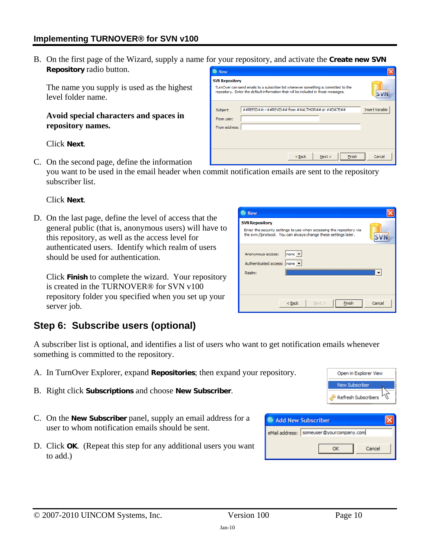B. On the first page of the Wizard, supply a name for your repository, and activate the **Create new SVN Repository** radio button. <sup>©</sup> New

**SVN Repository** 

Subject:

From user: From address:

TurnOver can send emails to a subscriber list whenever something is committed to the repository. Enter the default information that will be included in those messages

##REPID##: r##REVID## from ##AUTHOR## at ##DATE##

 $<$  Back

The name you supply is used as the highest level folder name.

#### **Avoid special characters and spaces in repository names.**

Click **Next**.

C. On the second page, define the information you want to be used in the email header when commit notification emails are sent to the repository subscriber list.

#### Click **Next**.

D. On the last page, define the level of access that the general public (that is, anonymous users) will have to this repository, as well as the access level for authenticated users. Identify which realm of users should be used for authentication.

Click **Finish** to complete the wizard. Your repository is created in the TURNOVER® for SVN v100 repository folder you specified when you set up your server job.

# <span id="page-9-0"></span>**Step 6: Subscribe users (optional)**

A subscriber list is optional, and identifies a list of users who want to get notification emails whenever something is committed to the repository.

- A. In TurnOver Explorer, expand **Repositories**; then expand your repository.
- B. Right click **Subscriptions** and choose **New Subscriber**.
- C. On the **New Subscriber** panel, supply an email address for a user to whom notification emails should be sent.
- D. Click **OK**. (Repeat this step for any additional users you want to add.)



 $Next$ 

Einish



Onen in Explorer View

New Subscriber Refresh Subscribers

**SVN** 

Insert Variable

Cancel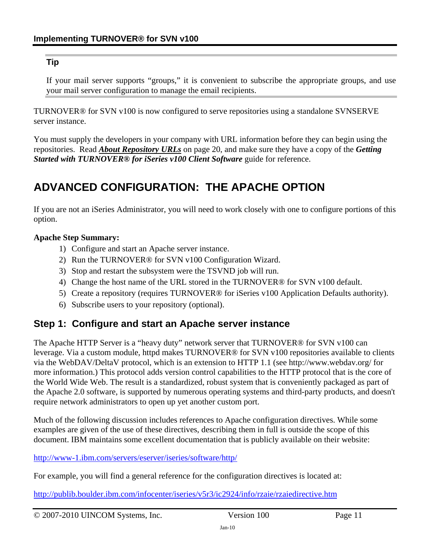### **Tip**

If your mail server supports "groups," it is convenient to subscribe the appropriate groups, and use your mail server configuration to manage the email recipients.

TURNOVER® for SVN v100 is now configured to serve repositories using a standalone SVNSERVE server instance.

You must supply the developers in your company with URL information before they can begin using the repositories. Read *[About Repository URLs](#page-19-0)* on page [20,](#page-19-0) and make sure they have a copy of the *Getting Started with TURNOVER® for iSeries v100 Client Software* guide for reference.

# <span id="page-10-0"></span>**ADVANCED CONFIGURATION: THE APACHE OPTION**

If you are not an iSeries Administrator, you will need to work closely with one to configure portions of this option.

#### **Apache Step Summary:**

- 1) Configure and start an Apache server instance.
- 2) Run the TURNOVER® for SVN v100 Configuration Wizard.
- 3) Stop and restart the subsystem were the TSVND job will run.
- 4) Change the host name of the URL stored in the TURNOVER® for SVN v100 default.
- 5) Create a repository (requires TURNOVER® for iSeries v100 Application Defaults authority).
- 6) Subscribe users to your repository (optional).

## **Step 1: Configure and start an Apache server instance**

The Apache HTTP Server is a "heavy duty" network server that TURNOVER® for SVN v100 can leverage. Via a custom module, httpd makes TURNOVER® for SVN v100 repositories available to clients via the WebDAV/DeltaV protocol, which is an extension to HTTP 1.1 (see [http://www.webdav.org/ f](http://www.webdav.org/)or more information.) This protocol adds version control capabilities to the HTTP protocol that is the core of the World Wide Web. The result is a standardized, robust system that is conveniently packaged as part of the Apache 2.0 software, is supported by numerous operating systems and third-party products, and doesn't require network administrators to open up yet another custom port.

Much of the following discussion includes references to Apache configuration directives. While some examples are given of the use of these directives, describing them in full is outside the scope of this document. IBM maintains some excellent documentation that is publicly available on their website:

<http://www-1.ibm.com/servers/eserver/iseries/software/http/>

For example, you will find a general reference for the configuration directives is located at:

<http://publib.boulder.ibm.com/infocenter/iseries/v5r3/ic2924/info/rzaie/rzaiedirective.htm>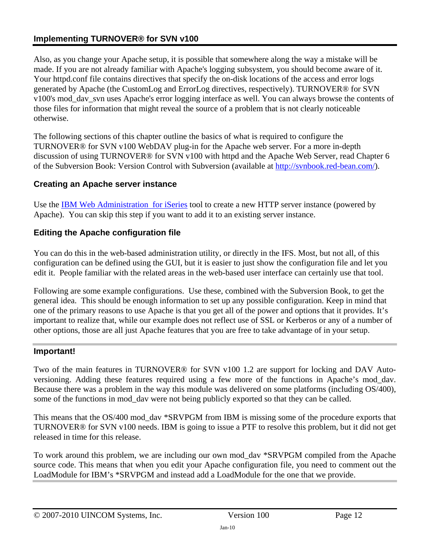Also, as you change your Apache setup, it is possible that somewhere along the way a mistake will be made. If you are not already familiar with Apache's logging subsystem, you should become aware of it. Your httpd.conf file contains directives that specify the on-disk locations of the access and error logs generated by Apache (the CustomLog and ErrorLog directives, respectively). TURNOVER® for SVN v100's mod\_dav\_svn uses Apache's error logging interface as well. You can always browse the contents of those files for information that might reveal the source of a problem that is not clearly noticeable otherwise.

The following sections of this chapter outline the basics of what is required to configure the TURNOVER® for SVN v100 WebDAV plug-in for the Apache web server. For a more in-depth discussion of using TURNOVER® for SVN v100 with httpd and the Apache Web Server, read Chapter 6 of the Subversion Book: Version Control with Subversion (available at [http://svnbook.red-bean.com/\)](http://svnbook.red-bean.com/).

#### **Creating an Apache server instance**

Use the [IBM Web Administration for iSeries](http://publib.boulder.ibm.com/infocenter/iseries/v5r3/index.jsp?topic=/rzaie/rzaiemain.htm) tool to create a new HTTP server instance (powered by Apache). You can skip this step if you want to add it to an existing server instance.

## **Editing the Apache configuration file**

You can do this in the web-based administration utility, or directly in the IFS. Most, but not all, of this configuration can be defined using the GUI, but it is easier to just show the configuration file and let you edit it. People familiar with the related areas in the web-based user interface can certainly use that tool.

Following are some example configurations. Use these, combined with the Subversion Book, to get the general idea. This should be enough information to set up any possible configuration. Keep in mind that one of the primary reasons to use Apache is that you get all of the power and options that it provides. It's important to realize that, while our example does not reflect use of SSL or Kerberos or any of a number of other options, those are all just Apache features that you are free to take advantage of in your setup.

#### **Important!**

Two of the main features in TURNOVER® for SVN v100 1.2 are support for locking and DAV Autoversioning. Adding these features required using a few more of the functions in Apache's mod\_dav. Because there was a problem in the way this module was delivered on some platforms (including OS/400), some of the functions in mod dav were not being publicly exported so that they can be called.

This means that the OS/400 mod dav \*SRVPGM from IBM is missing some of the procedure exports that TURNOVER® for SVN v100 needs. IBM is going to issue a PTF to resolve this problem, but it did not get released in time for this release.

To work around this problem, we are including our own mod\_dav \*SRVPGM compiled from the Apache source code. This means that when you edit your Apache configuration file, you need to comment out the LoadModule for IBM's \*SRVPGM and instead add a LoadModule for the one that we provide.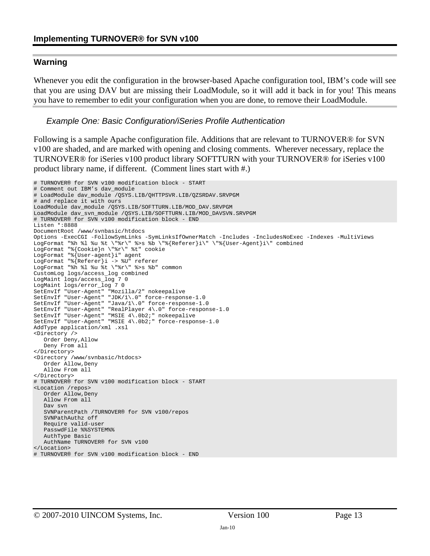#### **Warning**

Whenever you edit the configuration in the browser-based Apache configuration tool, IBM's code will see that you are using DAV but are missing their LoadModule, so it will add it back in for you! This means you have to remember to edit your configuration when you are done, to remove their LoadModule.

#### *Example One: Basic Configuration/iSeries Profile Authentication*

Following is a sample Apache configuration file. Additions that are relevant to TURNOVER® for SVN v100 are shaded, and are marked with opening and closing comments. Wherever necessary, replace the TURNOVER® for iSeries v100 product library SOFTTURN with your TURNOVER® for iSeries v100 product library name, if different. (Comment lines start with #.)

```
# TURNOVER® for SVN v100 modification block - START 
# Comment out IBM's dav_module 
# LoadModule dav_module /QSYS.LIB/QHTTPSVR.LIB/QZSRDAV.SRVPGM 
# and replace it with ours 
LoadModule dav_module /QSYS.LIB/SOFTTURN.LIB/MOD_DAV.SRVPGM 
LoadModule dav_svn_module /QSYS.LIB/SOFTTURN.LIB/MOD_DAVSVN.SRVPGM 
# TURNOVER® for SVN v100 modification block - END 
Listen *:8888 
DocumentRoot /www/svnbasic/htdocs 
Options -ExecCGI -FollowSymLinks -SymLinksIfOwnerMatch -Includes -IncludesNoExec -Indexes -MultiViews 
LogFormat "%h %l %u %t \"*r\" %>s %b \"%{Referer}i\" \"%{User-Agent}i\" combined
LogFormat "%{Cookie}n \"%r\" %t" cookie 
LogFormat "%{User-agent}i" agent 
LogFormat "%{Referer}i -> %U" referer 
LogFormat "%h %l %u %t \"%r\" %>s %b" common
CustomLog logs/access_log combined 
LogMaint logs/access_log 7 0 
LogMaint logs/error_log 7 0 
SetEnvIf "User-Agent" "Mozilla/2" nokeepalive 
SetEnvIf "User-Agent" "JDK/1\.0" force-response-1.0
SetEnvIf "User-Agent" "Java/1\.0" force-response-1.0 
SetEnvIf "User-Agent" "RealPlayer 4\.0" force-response-1.0 
SetEnvIf "User-Agent" "MSIE 4\.0b2;" nokeepalive 
SetEnvIf "User-Agent" "MSIE 4\.0b2;" force-response-1.0 
AddType application/xml .xsl 
<Directory /> 
    Order Deny,Allow 
    Deny From all 
</Directory> 
<Directory /www/svnbasic/htdocs> 
    Order Allow,Deny 
    Allow From all 
</Directory> 
# TURNOVER® for SVN v100 modification block - START 
<Location /repos> 
    Order Allow,Deny 
    Allow From all 
    Dav svn 
    SVNParentPath /TURNOVER® for SVN v100/repos 
    SVNPathAuthz off 
    Require valid-user 
    PasswdFile %%SYSTEM%% 
    AuthType Basic 
    AuthName TURNOVER® for SVN v100 
</Location> 
# TURNOVER® for SVN v100 modification block - END
```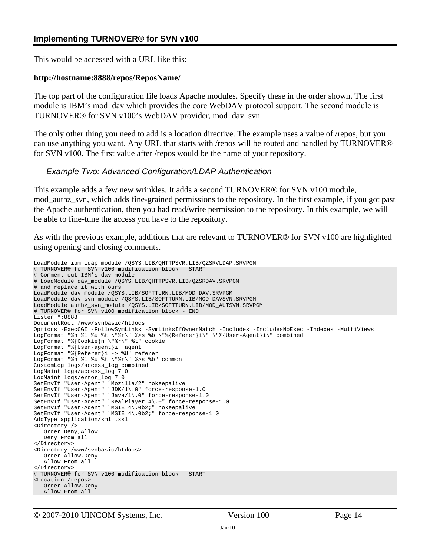This would be accessed with a URL like this:

#### **http://hostname:8888/repos/ReposName/**

The top part of the configuration file loads Apache modules. Specify these in the order shown. The first module is IBM's mod dav which provides the core WebDAV protocol support. The second module is TURNOVER® for SVN v100's WebDAV provider, mod\_dav\_svn.

The only other thing you need to add is a location directive. The example uses a value of /repos, but you can use anything you want. Any URL that starts with /repos will be routed and handled by TURNOVER® for SVN v100. The first value after /repos would be the name of your repository.

#### *Example Two: Advanced Configuration/LDAP Authentication*

This example adds a few new wrinkles. It adds a second TURNOVER® for SVN v100 module, mod\_authz\_svn, which adds fine-grained permissions to the repository. In the first example, if you got past the Apache authentication, then you had read/write permission to the repository. In this example, we will be able to fine-tune the access you have to the repository.

As with the previous example, additions that are relevant to TURNOVER® for SVN v100 are highlighted using opening and closing comments.

```
LoadModule ibm_ldap_module /QSYS.LIB/QHTTPSVR.LIB/QZSRVLDAP.SRVPGM 
# TURNOVER® for SVN v100 modification block - START 
# Comment out IBM's dav_module 
# LoadModule dav_module /QSYS.LIB/QHTTPSVR.LIB/QZSRDAV.SRVPGM 
# and replace it with ours 
LoadModule dav_module /QSYS.LIB/SOFTTURN.LIB/MOD_DAV.SRVPGM 
LoadModule dav_svn_module /QSYS.LIB/SOFTTURN.LIB/MOD_DAVSVN.SRVPGM 
LoadModule authz_svn_module /QSYS.LIB/SOFTTURN.LIB/MOD_AUTSVN.SRVPGM 
# TURNOVER® for SVN v100 modification block - END 
Listen *:8888 
DocumentRoot /www/svnbasic/htdocs 
Options -ExecCGI -FollowSymLinks -SymLinksIfOwnerMatch -Includes -IncludesNoExec -Indexes -MultiViews 
LogFormat "%h %l %u %t \"%r\" %>s %b \"%{Referer}i\" \"%{User-Agent}i\" combined
LogFormat "%{Cookie}n \"%r\" %t" cookie 
LogFormat "%{User-agent}i" agent 
LogFormat "%{Referer}i -> %U" referer 
LogFormat "%h %l %u %t \"%r\" %>s %b" common
CustomLog logs/access_log combined 
LogMaint logs/access_log 7 0 
LogMaint logs/error_log 7 0 
SetEnvIf "User-Agent" "Mozilla/2" nokeepalive 
SetEnvIf "User-Agent" "JDK/1\.0" force-response-1.0 
SetEnvIf "User-Agent" "Java/1\.0" force-response-1.0 
SetEnvIf "User-Agent" "RealPlayer 4\.0" force-response-1.0
SetEnvIf "User-Agent" "MSIE 4\.0b2;" nokeepalive 
SetEnvIf "User-Agent" "MSIE 4\.0b2;" force-response-1.0 
AddType application/xml .xsl 
<Directory /> 
    Order Deny,Allow 
    Deny From all 
</Directory> 
<Directory /www/svnbasic/htdocs> 
   Order Allow, Deny
    Allow From all 
</Directory> 
# TURNOVER® for SVN v100 modification block - START 
<Location /repos> 
    Order Allow,Deny 
    Allow From all
```
© 2007-2010 UINCOM Systems, Inc. Version 100 Page 14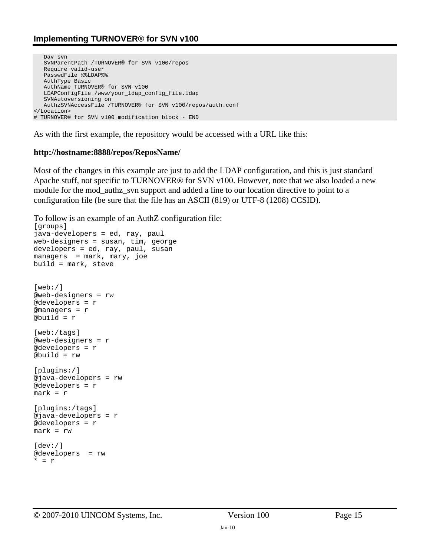```
 Dav svn 
    SVNParentPath /TURNOVER® for SVN v100/repos 
    Require valid-user 
    PasswdFile %%LDAP%% 
    AuthType Basic 
    AuthName TURNOVER® for SVN v100 
    LDAPConfigFile /www/your_ldap_config_file.ldap 
    SVNAutoversioning on 
    AuthzSVNAccessFile /TURNOVER® for SVN v100/repos/auth.conf 
</Location> 
# TURNOVER® for SVN v100 modification block - END
```
As with the first example, the repository would be accessed with a URL like this:

#### **http://hostname:8888/repos/ReposName/**

Most of the changes in this example are just to add the LDAP configuration, and this is just standard Apache stuff, not specific to TURNOVER® for SVN v100. However, note that we also loaded a new module for the mod\_authz\_svn support and added a line to our location directive to point to a configuration file (be sure that the file has an ASCII (819) or UTF-8 (1208) CCSID).

```
To follow is an example of an AuthZ configuration file: 
[groups] 
java-developers = ed, ray, paul 
web-designers = susan, tim, george 
developers = ed, ray, paul, susan 
managers = mark, mary, joe 
build = mark, steve 
[web: /]@web-designers = rw 
@developers = r 
@managers = r 
@build = r 
[web:/tags] 
@web-designers = r 
@developers = r 
@build = rw 
[plugins:/] 
@java-developers = rw 
@developers = r 
mark = r 
[plugins:/tags] 
@java-developers = r 
@developers = r 
mark = rw 
[dev: /]@developers = rw
```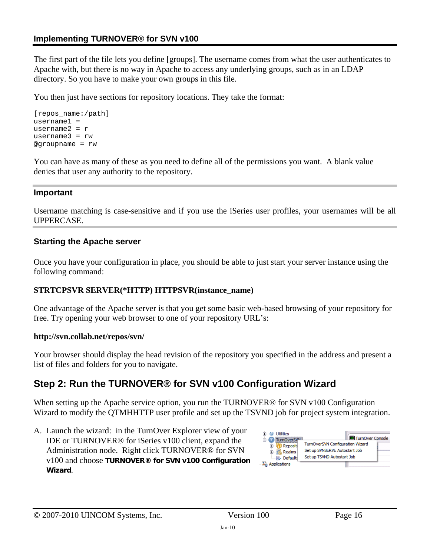The first part of the file lets you define [groups]. The username comes from what the user authenticates to Apache with, but there is no way in Apache to access any underlying groups, such as in an LDAP directory. So you have to make your own groups in this file.

You then just have sections for repository locations. They take the format:

```
[repos_name:/path] 
username1 = 
username2 = rusername3 = rw 
@groupname = rw
```
You can have as many of these as you need to define all of the permissions you want. A blank value denies that user any authority to the repository.

#### **Important**

Username matching is case-sensitive and if you use the iSeries user profiles, your usernames will be all UPPERCASE.

#### **Starting the Apache server**

Once you have your configuration in place, you should be able to just start your server instance using the following command:

#### **STRTCPSVR SERVER(\*HTTP) HTTPSVR(instance\_name)**

One advantage of the Apache server is that you get some basic web-based browsing of your repository for free. Try opening your web browser to one of your repository URL's:

#### **http://svn.collab.net/repos/svn/**

Your browser should display the head revision of the repository you specified in the address and present a list of files and folders for you to navigate.

# **Step 2: Run the TURNOVER® for SVN v100 Configuration Wizard**

When setting up the Apache service option, you run the TURNOVER<sup>®</sup> for SVN v100 Configuration Wizard to modify the QTMHHTTP user profile and set up the TSVND job for project system integration.

A. Launch the wizard: in the TurnOver Explorer view of your IDE or TURNOVER® for iSeries v100 client, expand the Administration node. Right click TURNOVER® for SVN v100 and choose **TURNOVER® for SVN v100 Configuration Wizard**.

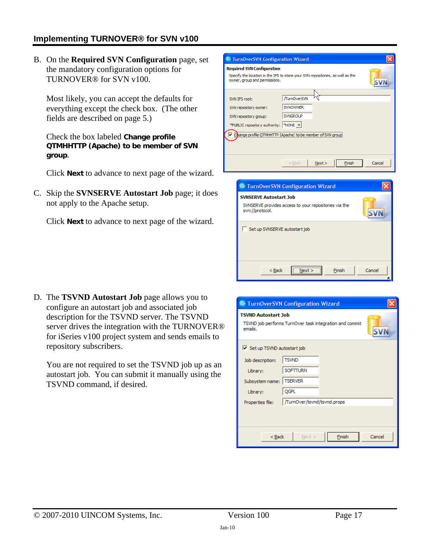B. On the **Required SVN Configuration** page, set the mandatory configuration options for TURNOVER® for SVN v100.

Most likely, you can accept the defaults for everything except the check box. (The other fields are described on page [5](#page-4-0).)

Check the box labeled **Change profile QTMHHTTP (Apache) to be member of SVN group**.

Click **Next** to advance to next page of the wizard.

C. Skip the **SVNSERVE Autostart Job** page; it does not apply to the Apache setup.

Click **Next** to advance to next page of the wizard.

| <sup>©</sup> TurnOverSVN Configuration Wizard                                                                                                        |                                                                             |                |        |
|------------------------------------------------------------------------------------------------------------------------------------------------------|-----------------------------------------------------------------------------|----------------|--------|
| <b>Required SVN Configuration</b><br>Specify the location in the IFS to store your SVN repositories, as well as the<br>owner, group and permissions. |                                                                             |                |        |
| SVN TES root:<br>SVN repository owner:<br>SVN repository group:<br>*PUBLIC repository authority:  *NONE v<br>Change profile OTMH                     | /TurnOverSVN<br><b>SVNOWNER</b><br><b>SVNGROUP</b><br>(Apache) to be member |                |        |
|                                                                                                                                                      | $<$ Back                                                                    | Next<br>Finish | Cancel |
| <sup>©</sup> TurnOverSVN Configuration Wizard                                                                                                        |                                                                             |                |        |

| <b>C</b> TurnOverSVN Configuration Wizard                                                                 |        |
|-----------------------------------------------------------------------------------------------------------|--------|
| <b>SVNSERVE Autostart Job</b><br>SVNSERVE provides access to your repositories via the<br>svn://protocol. |        |
| Set up SVNSERVE autostart job                                                                             |        |
| $<$ Back<br>Finish                                                                                        | Cancel |

D. The **TSVND Autostart Job** page allows you to configure an autostart job and associated job description for the TSVND server. The TSVND server drives the integration with the TURNOVER® for iSeries v100 project system and sends emails to repository subscribers.

You are not required to set the TSVND job up as an autostart job. You can submit it manually using the TSVND command, if desired.

| <sup>©</sup> TurnOverSVN Configuration Wizard                                                    |        |
|--------------------------------------------------------------------------------------------------|--------|
| <b>TSVND Autostart Job</b><br>TSVND job performs TurnOver task integration and commit<br>emails. |        |
| Set up TSVND autostart job                                                                       |        |
| <b>TSVND</b><br>Job description:                                                                 |        |
| <b>SOFTTURN</b><br>Library:                                                                      |        |
| Subsystem name:   TSERVER                                                                        |        |
| <b>OGPL</b><br>Library:                                                                          |        |
| TurnOver/tsvnd/tsvnd.props/<br>Properties file:                                                  |        |
|                                                                                                  |        |
| Finish<br>$Back$<br>$Next$ >                                                                     | Cancel |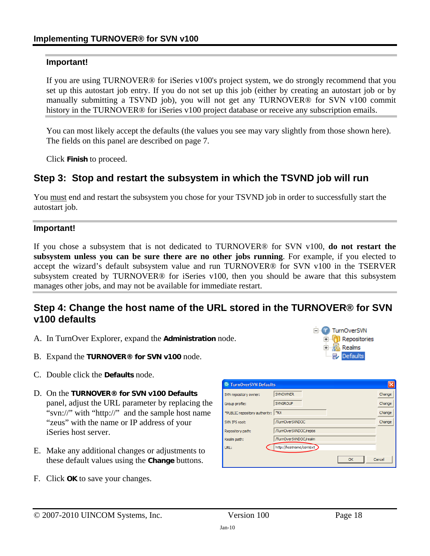#### **Important!**

If you are using TURNOVER® for iSeries v100's project system, we do strongly recommend that you set up this autostart job entry. If you do not set up this job (either by creating an autostart job or by manually submitting a TSVND job), you will not get any TURNOVER® for SVN v100 commit history in the TURNOVER® for iSeries v100 project database or receive any subscription emails.

You can most likely accept the defaults (the values you see may vary slightly from those shown here). The fields on this panel are described on page [7](#page-6-0).

Click **Finish** to proceed.

## **Step 3: Stop and restart the subsystem in which the TSVND job will run**

You must end and restart the subsystem you chose for your TSVND job in order to successfully start the autostart job.

#### **Important!**

If you chose a subsystem that is not dedicated to TURNOVER® for SVN v100, **do not restart the subsystem unless you can be sure there are no other jobs running**. For example, if you elected to accept the wizard's default subsystem value and run TURNOVER® for SVN v100 in the TSERVER subsystem created by TURNOVER® for iSeries v100, then you should be aware that this subsystem manages other jobs, and may not be available for immediate restart.

## **Step 4: Change the host name of the URL stored in the TURNOVER® for SVN v100 defaults**

- A. In TurnOver Explorer, expand the **Administration** node.
- B. Expand the **TURNOVER® for SVN v100** node.
- C. Double click the **Defaults** node.
- D. On the **TURNOVER® for SVN v100 Defaults** panel, adjust the URL parameter by replacing the "svn://" with "http://" and the sample host name "zeus" with the name or IP address of your iSeries host server.
- E. Make any additional changes or adjustments to these default values using the **Change** buttons.
- F. Click **OK** to save your changes.



**E** TurnOverSVN **E** Repositories 中**點 Realms** Defaults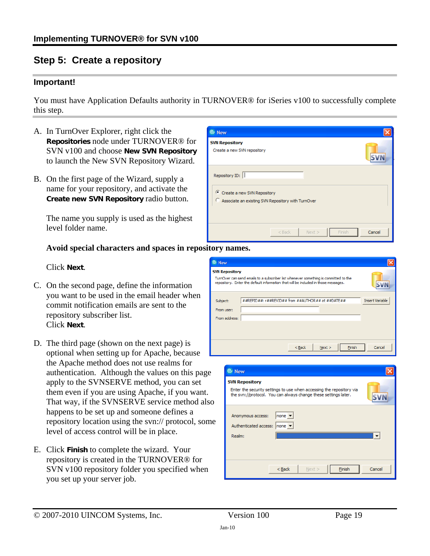# **Step 5: Create a repository**

#### **Important!**

You must have Application Defaults authority in TURNOVER® for iSeries v100 to successfully complete this step.

> C New **SVN Repository**

Create a new SVN repository

 $\widehat{\mathcal{C}}$  Create a new SVN Repository

Repository ID:

- A. In TurnOver Explorer, right click the **Repositories** node under TURNOVER® for SVN v100 and choose **New SVN Repository**  to launch the New SVN Repository Wizard.
- B. On the first page of the Wizard, supply a name for your repository, and activate the **Create new SVN Repository** radio button.

The name you supply is used as the highest level folder name.

#### **Avoid special characters and spaces in repository names.**

Click **Next**.

- C. On the second page, define the information you want to be used in the email header when commit notification emails are sent to the repository subscriber list. Click **Next**.
- D. The third page (shown on the next page) is optional when setting up for Apache, because the Apache method does not use realms for authentication. Although the values on this page apply to the SVNSERVE method, you can set them even if you are using Apache, if you want. That way, if the SVNSERVE service method also happens to be set up and someone defines a repository location using the svn:// protocol, some level of access control will be in place.
- E. Click **Finish** to complete the wizard. Your repository is created in the TURNOVER® for SVN v100 repository folder you specified when you set up your server job.



 $<$  Back

 $Next >$ 

**SVN** 

| <sup>©</sup> New                                                                                                                                                 |        |
|------------------------------------------------------------------------------------------------------------------------------------------------------------------|--------|
| <b>SVN Repository</b><br>Enter the security settings to use when accessing the repository via<br>the svn://protocol. You can always change these settings later. |        |
| none $\blacktriangledown$<br>Anonymous access:<br>Authenticated access: none<br><br>Realm:                                                                       |        |
| $<$ Back<br>Finish<br>Next >                                                                                                                                     | Cancel |

Einish

Cancel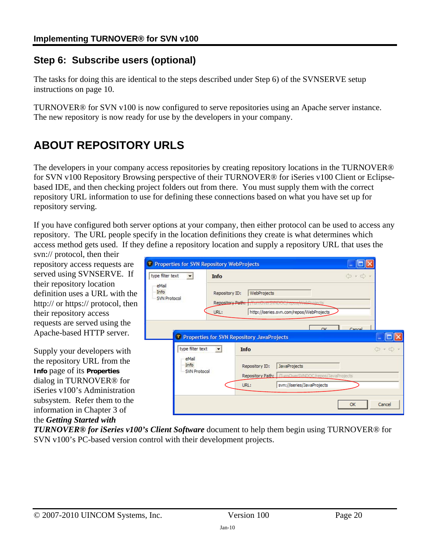# **Step 6: Subscribe users (optional)**

The tasks for doing this are identical to the steps described under Step [6\)](#page-4-1) of the SVNSERVE setup instructions on page [10.](#page-9-0)

TURNOVER® for SVN v100 is now configured to serve repositories using an Apache server instance. The new repository is now ready for use by the developers in your company.

# <span id="page-19-0"></span>**ABOUT REPOSITORY URLS**

The developers in your company access repositories by creating repository locations in the TURNOVER® for SVN v100 Repository Browsing perspective of their TURNOVER® for iSeries v100 Client or Eclipsebased IDE, and then checking project folders out from there. You must supply them with the correct repository URL information to use for defining these connections based on what you have set up for repository serving.

If you have configured both server options at your company, then either protocol can be used to access any repository. The URL people specify in the location definitions they create is what determines which access method gets used. If they define a repository location and supply a repository URL that uses the

svn:// protocol, then their repository access requests are served using SVNSERVE. If their repository location definition uses a URL with the http:// or https:// protocol, then their repository access requests are served using the Apache-based HTTP server.

Supply your developers with the repository URL from the **Info** page of its **Properties** dialog in TURNOVER® for iSeries v100's Administration subsystem. Refer them to the information in Chapter 3 of the *Getting Started with* 



*TURNOVER® for iSeries v100's Client Software* document to help them begin using TURNOVER® for SVN v100's PC-based version control with their development projects.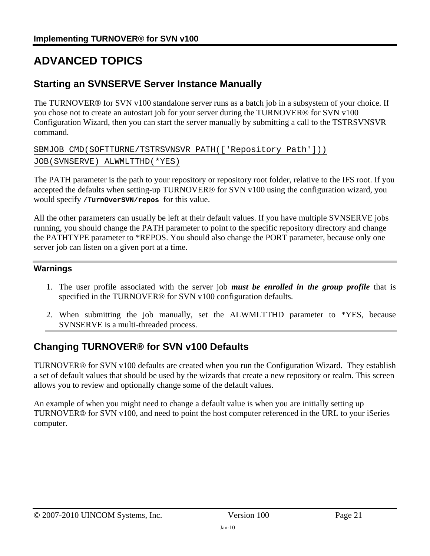# **ADVANCED TOPICS**

# <span id="page-20-0"></span>**Starting an SVNSERVE Server Instance Manually**

The TURNOVER® for SVN v100 standalone server runs as a batch job in a subsystem of your choice. If you chose not to create an autostart job for your server during the TURNOVER® for SVN v100 Configuration Wizard, then you can start the server manually by submitting a call to the TSTRSVNSVR command.

SBMJOB CMD(SOFTTURNE/TSTRSVNSVR PATH(['Repository Path'])) JOB(SVNSERVE) ALWMLTTHD(\*YES)

The PATH parameter is the path to your repository or repository root folder, relative to the IFS root. If you accepted the defaults when setting-up TURNOVER® for SVN v100 using the configuration wizard, you would specify **/TurnOverSVN/repos** for this value.

All the other parameters can usually be left at their default values. If you have multiple SVNSERVE jobs running, you should change the PATH parameter to point to the specific repository directory and change the PATHTYPE parameter to \*REPOS. You should also change the PORT parameter, because only one server job can listen on a given port at a time.

## **Warnings**

- 1. The user profile associated with the server job *must be enrolled in the group profile* that is specified in the TURNOVER® for SVN v100 configuration defaults.
- 2. When submitting the job manually, set the ALWMLTTHD parameter to \*YES, because SVNSERVE is a multi-threaded process.

# **Changing TURNOVER® for SVN v100 Defaults**

TURNOVER® for SVN v100 defaults are created when you run the Configuration Wizard. They establish a set of default values that should be used by the wizards that create a new repository or realm. This screen allows you to review and optionally change some of the default values.

An example of when you might need to change a default value is when you are initially setting up TURNOVER® for SVN v100, and need to point the host computer referenced in the URL to your iSeries computer.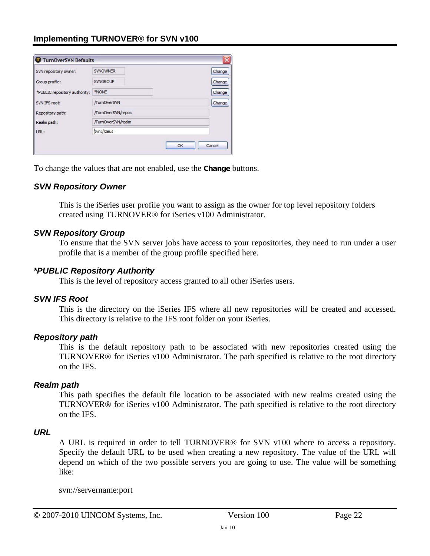| SVN repository owner:         | <b>SVNOWNER</b>    | Change |
|-------------------------------|--------------------|--------|
| Group profile:                | <b>SVNGROUP</b>    | Change |
| *PUBLIC repository authority: | *NONE              | Change |
| SVN IFS root:                 | /TurnOverSVN       | Change |
| Repository path:              | /TurnOverSVN/repos |        |
| Realm path:                   | /TurnOverSVN/realm |        |
| URL:                          | svn://zeus         |        |

To change the values that are not enabled, use the **Change** buttons.

#### *SVN Repository Owner*

This is the iSeries user profile you want to assign as the owner for top level repository folders created using TURNOVER® for iSeries v100 Administrator.

#### *SVN Repository Group*

To ensure that the SVN server jobs have access to your repositories, they need to run under a user profile that is a member of the group profile specified here.

#### *\*PUBLIC Repository Authority*

This is the level of repository access granted to all other iSeries users.

#### *SVN IFS Root*

This is the directory on the iSeries IFS where all new repositories will be created and accessed. This directory is relative to the IFS root folder on your iSeries.

#### *Repository path*

This is the default repository path to be associated with new repositories created using the TURNOVER® for iSeries v100 Administrator. The path specified is relative to the root directory on the IFS.

#### *Realm path*

This path specifies the default file location to be associated with new realms created using the TURNOVER® for iSeries v100 Administrator. The path specified is relative to the root directory on the IFS.

#### *URL*

A URL is required in order to tell TURNOVER® for SVN v100 where to access a repository. Specify the default URL to be used when creating a new repository. The value of the URL will depend on which of the two possible servers you are going to use. The value will be something like:

svn://servername:port